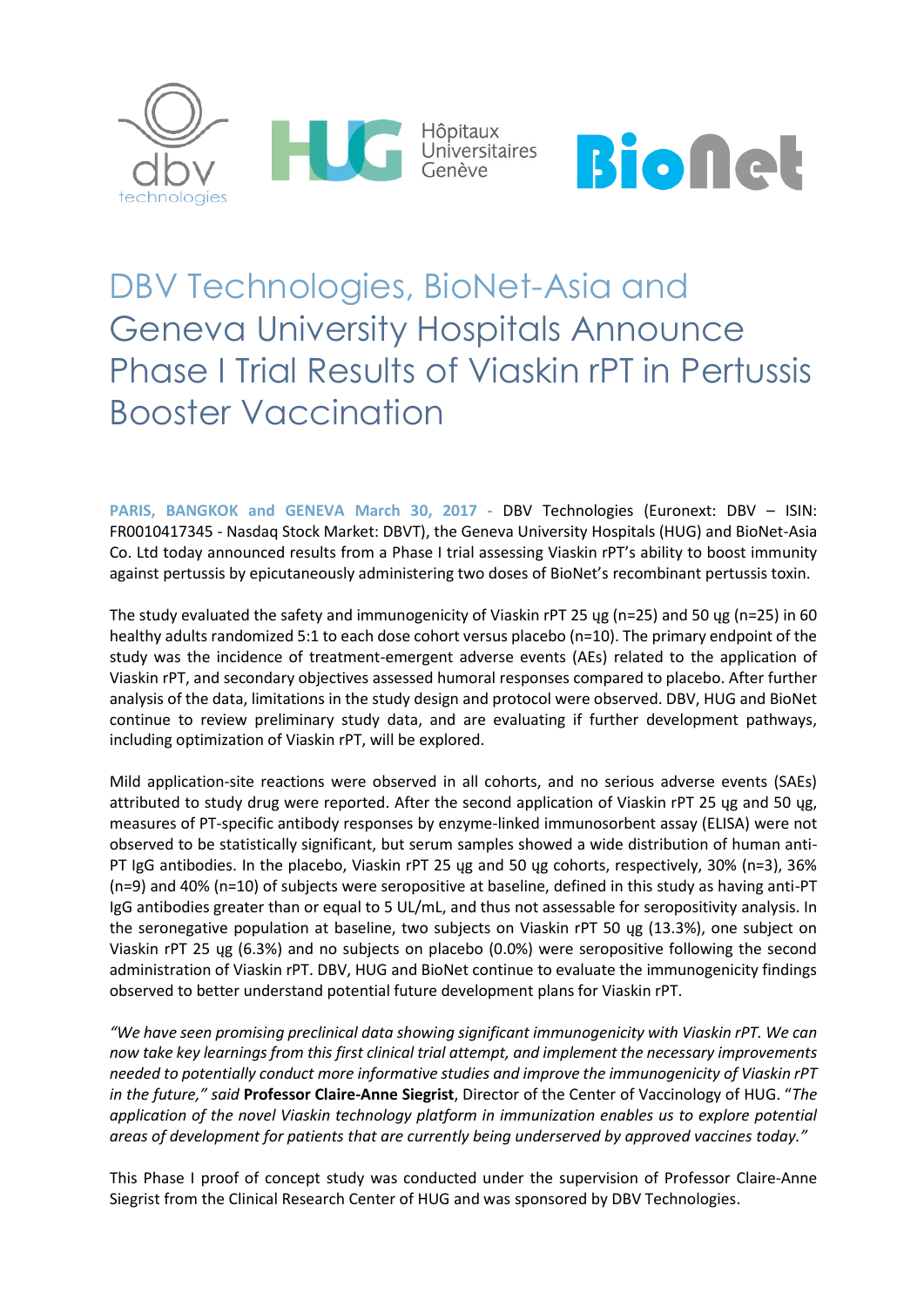



# DBV Technologies, BioNet-Asia and Geneva University Hospitals Announce Phase I Trial Results of Viaskin rPT in Pertussis Booster Vaccination

**PARIS, BANGKOK and GENEVA March 30, 2017 -** DBV Technologies (Euronext: DBV – ISIN: FR0010417345 - Nasdaq Stock Market: DBVT), the Geneva University Hospitals (HUG) and BioNet-Asia Co. Ltd today announced results from a Phase I trial assessing Viaskin rPT's ability to boost immunity against pertussis by epicutaneously administering two doses of BioNet's recombinant pertussis toxin.

The study evaluated the safety and immunogenicity of Viaskin rPT 25 ųg (n=25) and 50 ųg (n=25) in 60 healthy adults randomized 5:1 to each dose cohort versus placebo (n=10). The primary endpoint of the study was the incidence of treatment-emergent adverse events (AEs) related to the application of Viaskin rPT, and secondary objectives assessed humoral responses compared to placebo. After further analysis of the data, limitations in the study design and protocol were observed. DBV, HUG and BioNet continue to review preliminary study data, and are evaluating if further development pathways, including optimization of Viaskin rPT, will be explored.

Mild application-site reactions were observed in all cohorts, and no serious adverse events (SAEs) attributed to study drug were reported. After the second application of Viaskin rPT 25 ųg and 50 ųg, measures of PT-specific antibody responses by enzyme-linked immunosorbent assay (ELISA) were not observed to be statistically significant, but serum samples showed a wide distribution of human anti-PT IgG antibodies. In the placebo, Viaskin rPT 25 ųg and 50 ųg cohorts, respectively, 30% (n=3), 36% (n=9) and 40% (n=10) of subjects were seropositive at baseline, defined in this study as having anti-PT IgG antibodies greater than or equal to 5 UL/mL, and thus not assessable for seropositivity analysis. In the seronegative population at baseline, two subjects on Viaskin rPT 50 ųg (13.3%), one subject on Viaskin rPT 25 ųg (6.3%) and no subjects on placebo (0.0%) were seropositive following the second administration of Viaskin rPT. DBV, HUG and BioNet continue to evaluate the immunogenicity findings observed to better understand potential future development plans for Viaskin rPT.

*"We have seen promising preclinical data showing significant immunogenicity with Viaskin rPT. We can now take key learnings from this first clinical trial attempt, and implement the necessary improvements needed to potentially conduct more informative studies and improve the immunogenicity of Viaskin rPT in the future," said* **Professor Claire-Anne Siegrist**, Director of the Center of Vaccinology of HUG. "*The application of the novel Viaskin technology platform in immunization enables us to explore potential areas of development for patients that are currently being underserved by approved vaccines today."*

This Phase I proof of concept study was conducted under the supervision of Professor Claire-Anne Siegrist from the Clinical Research Center of HUG and was sponsored by DBV Technologies.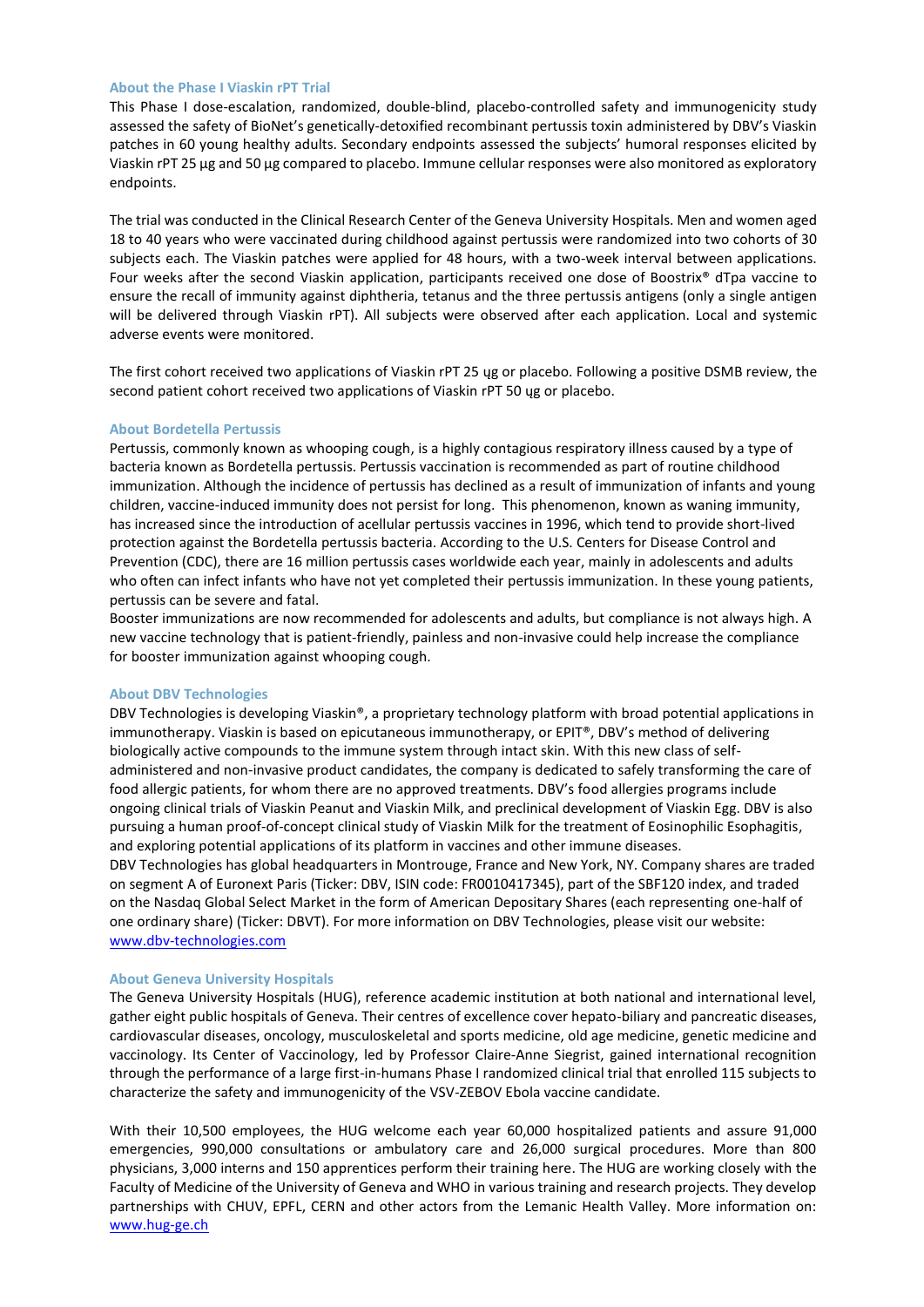# **About the Phase I Viaskin rPT Trial**

This Phase I dose-escalation, randomized, double-blind, placebo-controlled safety and immunogenicity study assessed the safety of BioNet's genetically-detoxified recombinant pertussis toxin administered by DBV's Viaskin patches in 60 young healthy adults. Secondary endpoints assessed the subjects' humoral responses elicited by Viaskin rPT 25 μg and 50 μg compared to placebo. Immune cellular responses were also monitored as exploratory endpoints.

The trial was conducted in the Clinical Research Center of the Geneva University Hospitals. Men and women aged 18 to 40 years who were vaccinated during childhood against pertussis were randomized into two cohorts of 30 subjects each. The Viaskin patches were applied for 48 hours, with a two-week interval between applications. Four weeks after the second Viaskin application, participants received one dose of Boostrix® dTpa vaccine to ensure the recall of immunity against diphtheria, tetanus and the three pertussis antigens (only a single antigen will be delivered through Viaskin rPT). All subjects were observed after each application. Local and systemic adverse events were monitored.

The first cohort received two applications of Viaskin rPT 25 ųg or placebo. Following a positive DSMB review, the second patient cohort received two applications of Viaskin rPT 50 ųg or placebo.

## **About Bordetella Pertussis**

Pertussis, commonly known as whooping cough, is a highly contagious respiratory illness caused by a type of bacteria known as Bordetella pertussis. Pertussis vaccination is recommended as part of routine childhood immunization. Although the incidence of pertussis has declined as a result of immunization of infants and young children, vaccine-induced immunity does not persist for long. This phenomenon, known as waning immunity, has increased since the introduction of acellular pertussis vaccines in 1996, which tend to provide short-lived protection against the Bordetella pertussis bacteria. According to the U.S. Centers for Disease Control and Prevention (CDC), there are 16 million pertussis cases worldwide each year, mainly in adolescents and adults who often can infect infants who have not yet completed their pertussis immunization. In these young patients, pertussis can be severe and fatal.

Booster immunizations are now recommended for adolescents and adults, but compliance is not always high. A new vaccine technology that is patient-friendly, painless and non-invasive could help increase the compliance for booster immunization against whooping cough.

## **About DBV Technologies**

DBV Technologies is developing Viaskin®, a proprietary technology platform with broad potential applications in immunotherapy. Viaskin is based on epicutaneous immunotherapy, or EPIT®, DBV's method of delivering biologically active compounds to the immune system through intact skin. With this new class of selfadministered and non-invasive product candidates, the company is dedicated to safely transforming the care of food allergic patients, for whom there are no approved treatments. DBV's food allergies programs include ongoing clinical trials of Viaskin Peanut and Viaskin Milk, and preclinical development of Viaskin Egg. DBV is also pursuing a human proof-of-concept clinical study of Viaskin Milk for the treatment of Eosinophilic Esophagitis, and exploring potential applications of its platform in vaccines and other immune diseases.

DBV Technologies has global headquarters in Montrouge, France and New York, NY. Company shares are traded on segment A of Euronext Paris (Ticker: DBV, ISIN code: FR0010417345), part of the SBF120 index, and traded on the Nasdaq Global Select Market in the form of American Depositary Shares (each representing one-half of one ordinary share) (Ticker: DBVT). For more information on DBV Technologies, please visit our website: [www.dbv-technologies.com](http://www.dbv-technologies.com/)

# **About Geneva University Hospitals**

The Geneva University Hospitals (HUG), reference academic institution at both national and international level, gather eight public hospitals of Geneva. Their centres of excellence cover hepato-biliary and pancreatic diseases, cardiovascular diseases, oncology, musculoskeletal and sports medicine, old age medicine, genetic medicine and vaccinology. Its Center of Vaccinology, led by Professor Claire-Anne Siegrist, gained international recognition through the performance of a large first-in-humans Phase I randomized clinical trial that enrolled 115 subjects to characterize the safety and immunogenicity of the VSV-ZEBOV Ebola vaccine candidate.

With their 10,500 employees, the HUG welcome each year 60,000 hospitalized patients and assure 91,000 emergencies, 990,000 consultations or ambulatory care and 26,000 surgical procedures. More than 800 physicians, 3,000 interns and 150 apprentices perform their training here. The HUG are working closely with the Faculty of Medicine of the University of Geneva and WHO in various training and research projects. They develop partnerships with CHUV, EPFL, CERN and other actors from the Lemanic Health Valley. More information on: [www.hug-ge.ch](http://www.hug-ge.ch/)